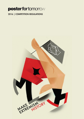# 2016 | COMPETITION REGULATIONS

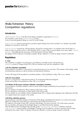# Make Extremism History Competition regulations

# **Introduction**

*"Make Extremism History!"* is the 8th annual design competition organised by *4tomorrow.* The competion is part of the *poster for tomorrow* project. It aims to promote (graphic) design as a tool for social change.

*poster for tomorrow* requires participants to produce original designs that will be included in an indexed, searchable database for charities to use for free.

*poster for tomorrow* rewards the 100 best designs received by including them in an exhibition that will be held in a series of cities around the world on 10th December 2016, as part of the an annual edition of an event called *"a day for tomorrow",* that celebrates the anniversary of the Declaration of Human Rights.

Ten designs will be made part of prestigious graphic design collections in numerous design museums worldwide.

# **Regulations**

# **1. Jury**

The competition is judged in two phases by a pre-selection committee and an international jury. *4tomorrow* commits to change at least 50% of the jury members each year the competition is held.

### **1.A) Pre-selection committee**

The pre-selection committee is composed of an international group of no more than 100 members of the design, media and advertising industries as well as charities and educational institutions.

To see a full listing of the pre-selection committee members, will be published on May 10th on our website.

# **1.B) Live Jury panel**

The jury is composed by a international panel of 10 recognised professional designers. Names and profiles to be published on May 10th on our website.

### **1.C) Duties of the jurors and pre-selection committee members**

The pre-selection committee members commit to review all the designs submitted by the participants in an online environment.

The jury members will attend the official meeting of the panel in Paris.

The jury chairperson will prepare a written report of the voting results.

No jury member nor any member of their immediate family, firm, or design teams (designers that collaborate with them on a regular basis) may compete in the contest.

### **1.D) Entry selection process**

The pre-selection committee members will examine all the design submitted by the entrants in an online environment, determine whether they meet admission requirements and exclude those that do not.

This selection will shortlist at least 300, maximum 400 designs, but never more than 15% of the entries received. The jury members will examine the shortlisted designs in an official face-to-face meeting.

They will determine the 100 designs that will make up the "*Universal access to healthcare!"* exhibition and book. *poster for tomorrow* board members will highlight 10 designs from this selection, aiming to represent what has been achieved by the contest. These 10 designs will also be collected in numerous design museums worldwide.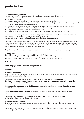# **1.E) Independent moderator**

*4tomorrow* and its staff will act as an independent moderator amongst the jury and the entrants. *4tomorrow* will be responsible for:

- receiving all submission;
- receiving written questions from the participants within the competition deadline;
- passing the written questions received, without disclosing any names, to the jury chairperson or to a juror appointed by the jury chairperson for answering questions;
- sending all the questions and the jury's corresponding answers to all entrants within the competition deadline;
- closing the submissions entry online system by the competition deadline;
- compiling a register of all participants and their submissions;
- making the submissions available for voting operations to the pre-selection committee and to the jury.

*4tomorrow* and its staff may not act as jurors, nor in the jury panel, neither in the pre-selection committee. Furthermore, *4tomorrow* and its staff may not take part in the jury's work in any way.

#### However, ONLY, top 10 posters will be selected amongst the 100 by 4tomorrow team.

Submissions will be handled by the organiser directly through an automated online system that prevents the disclosure of participants' identity at all times. *4tomorrow* is responsible for deciding how to act regarding technical failures on the submission system that might cause delays in the submission or loss of the entries and will decide whether to include the entries involved in the system failure or not at its own discretion.

To get in contact with *4tomorrow*, please see contact information available at www.posterfortomorrow.org

# **2. Time frame**

The call for entries opens on March the 10th, 2016 at 12:00 PM Paris time. From that date it will be possible to submit entries through *poster for tomorrow*'s website. The closing time for submissions is on 10 July 2016 at 12:00 AM (night pacific daylight time).

# **3. The Brief**

Read the page 5 at the end of this regulations file.

# **4. Entries**

### **4.A Entry specifications**

An entry to the competition consists of a portrait format poster addressing the proposed creative brief. Posters may be designed by a single author or by a team.

Designs submitted to the contest must be **original** artworks that are previously **unpublished**. The designs must consist entirely of the authors' own work and **must not include any copyrighted material**. Participants may submit up to 10 **different** posters.

Designs **must be presented in vertical format.** Landscape (horizontal) format entries **will not be considered valid** for the competition.

Designs **must not contain any logos**, from *4tomorrow, poster for tomorrow* or any of our partner charities or institutions.

Designs shall be **anonymous** during the judging process, therefore they **must not be signed** by the author or bear any other distinguishing marks.

### **4.B Technical requirements**

To enter, participants are asked to register to *poster for tomorrow's* website and submit their entries through the website form.

Entries must be submitted as JPG files of 2953x4134 pixels at a resolution of 150DPI, (corresponding to 50x70 cm in printed size) saved in RGB colour space.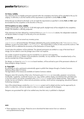### **4.C Entry validity**

Any valid entry from an eligible participant received within the competition time frame will be submitted to the jury for judging. A valid entry is one that matches all the requirements as specified in articles **4.A** and **4.B**

Entries that are not relevant to the brief, or do not match the requirements as specified in articles **4.A** and **4.B**, might be excluded from the competition at the discretion of the jury.

### **4.D Exceptions to entry validity**

Designs received after 10 July 2016 at 12:00 AM (night pacific daylight time) will be ineligible for the competition, except if the deadline is officially postponed.

If the submission has been delayed by a technical failure on *poster for tomorrow*'s website, the independent moderator will decide whether to accept or not the entry at its own discretion.

#### **5. Awards**

*poster for tomorrow* will not award any monetary prizes.

*poster for tomorrow* will reward the best 100 designs (selected by the jury) by including them in the "*Make Extremism History"* exhibition, as part of an event called *"a day for tomorrow",* that will be held in a series of cities around the world on 10th December 2016 to celebrate the anniversary of the Declaration of Human Rights.

A book about the exhibition will be published. The selected participants are entitled to a copy of the book free of charge, but are asked to cover the postage costs at their own expense.

Any number of special recognitions may be awarded by our sponsors and supporters. No member of the jury or member of the pre-selection committee, nor any member of their immediate family or firm, may be awarded any of these recognitions.

Ten designs, as chosen by *poster for tomorro*w board members, will be archived as part of the permanent collection of these prestigious design museums:

### **6. Copyright**

By submitting an entry, participants automatically agree to publish their designs through a Creative Commons Attribution-Share Alike 3.0 license.

The legal details of this license are available at Creative Commons website.

Designers retain full ownership of their entry. Participants grant *4tomorrow* an irrevocable, perpetual, non-exclusive, transferable, royalty-free, worldwide license to use, copy, exhibit, publicly display and distribute their submitted entry in any form and for any activity connected to the *poster for tomorrow* project and its related activities. These might include, but are not limited to, culture and arts promotion activities, social activism campaigning, educational material, fundraising campaigns.

Uses of the entered designs outside the *poster for tomorrow* project and its related activities must be approved by its author in written form, and can be subject to a fee or a royalty, as agreed with the designer.

Designers are guaranteed the right to be credited every time their entry is published or displayed.

#### **NOTE**

• These regulations may change. Please be sure to download the latest version from our website at www.posterfortomorrow.org